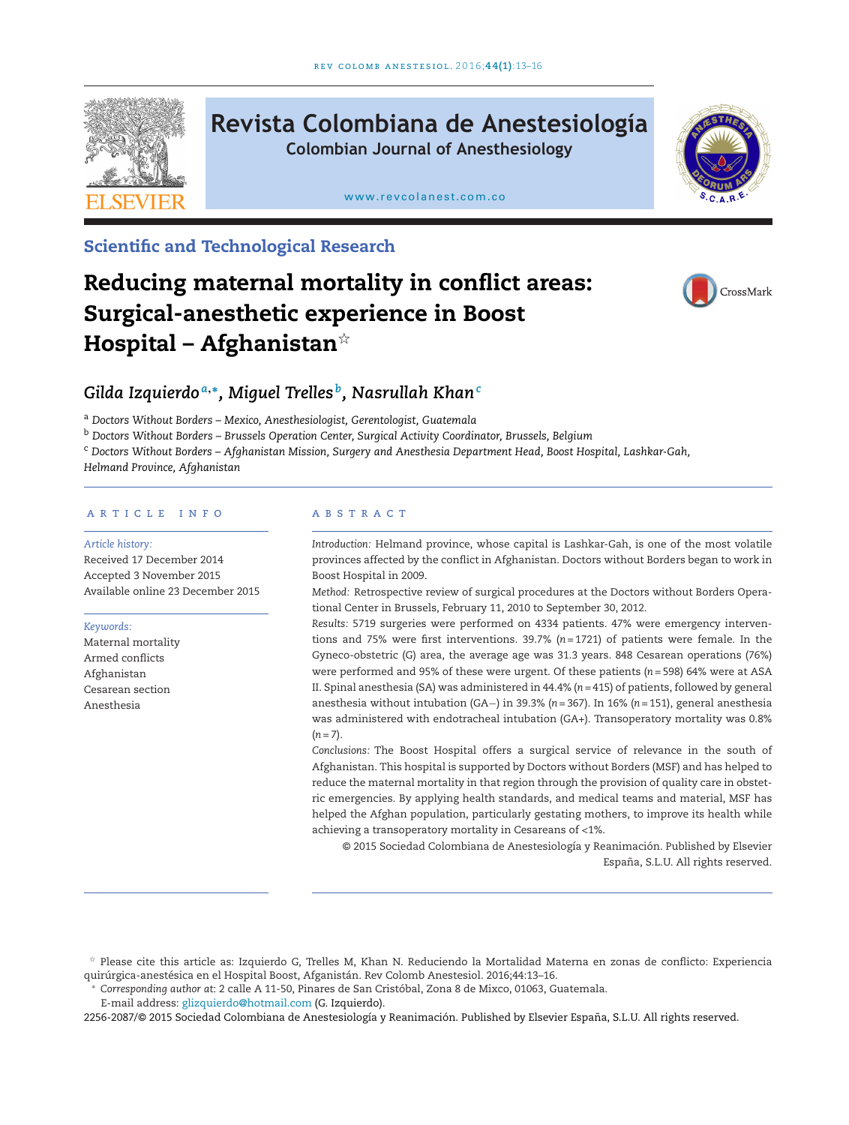

# **Revista Colombiana de Anestesiología Colombian Journal of Anesthesiology**

[www.revcolanest.com.co](http://www.revcolanest.com.co)



# **Scientific and Technological Research**

# **Reducing maternal mortality in conflict areas: Surgical-anesthetic experience in Boost Hospital – Afghanistan**-



# *Gilda Izquierdo <sup>a</sup>***,∗***, Miguel Trelles b, Nasrullah Khan<sup>c</sup>*

<sup>a</sup> *Doctors Without Borders – Mexico, Anesthesiologist, Gerentologist, Guatemala*

<sup>b</sup> *Doctors Without Borders – Brussels Operation Center, Surgical Activity Coordinator, Brussels, Belgium*

<sup>c</sup> *Doctors Without Borders – Afghanistan Mission, Surgery and Anesthesia Department Head, Boost Hospital, Lashkar-Gah,*

*Helmand Province, Afghanistan*

#### a r t i c l e i n f o

#### *Article history:*

Received 17 December 2014 Accepted 3 November 2015 Available online 23 December 2015

#### *Keywords:*

Maternal mortality Armed conflicts Afghanistan Cesarean section Anesthesia

#### A B S T R A C T

*Introduction:* Helmand province, whose capital is Lashkar-Gah, is one of the most volatile provinces affected by the conflict in Afghanistan. Doctors without Borders began to work in Boost Hospital in 2009.

*Method:* Retrospective review of surgical procedures at the Doctors without Borders Operational Center in Brussels, February 11, 2010 to September 30, 2012.

*Results:* 5719 surgeries were performed on 4334 patients. 47% were emergency interventions and 75% were first interventions. 39.7% (*n* = 1721) of patients were female. In the Gyneco-obstetric (G) area, the average age was 31.3 years. 848 Cesarean operations (76%) were performed and 95% of these were urgent. Of these patients (*n* = 598) 64% were at ASA II. Spinal anesthesia (SA) was administered in 44.4% (*n* = 415) of patients, followed by general anesthesia without intubation (GA−) in 39.3% (*n* = 367). In 16% (*n* = 151), general anesthesia was administered with endotracheal intubation (GA+). Transoperatory mortality was 0.8%  $(n = 7)$ .

*Conclusions:* The Boost Hospital offers a surgical service of relevance in the south of Afghanistan. This hospital is supported by Doctors without Borders (MSF) and has helped to reduce the maternal mortality in that region through the provision of quality care in obstetric emergencies. By applying health standards, and medical teams and material, MSF has helped the Afghan population, particularly gestating mothers, to improve its health while achieving a transoperatory mortality in Cesareans of <1%.

© 2015 Sociedad Colombiana de Anestesiología y Reanimación. Published by Elsevier España, S.L.U. All rights reserved.

E-mail address: [glizquierdo@hotmail.com](mailto:glizquierdo@hotmail.com) (G. Izquierdo).

2256-2087/© 2015 Sociedad Colombiana de Anestesiología y Reanimación. Published by Elsevier España, S.L.U. All rights reserved.

 $^\star$  Please cite this article as: Izquierdo G, Trelles M, Khan N. Reduciendo la Mortalidad Materna en zonas de conflicto: Experiencia quirúrgica-anestésica en el Hospital Boost, Afganistán. Rev Colomb Anestesiol. 2016;44:13–16.

<sup>∗</sup> *Corresponding author at*: 2 calle A 11-50, Pinares de San Cristóbal, Zona 8 de Mixco, 01063, Guatemala.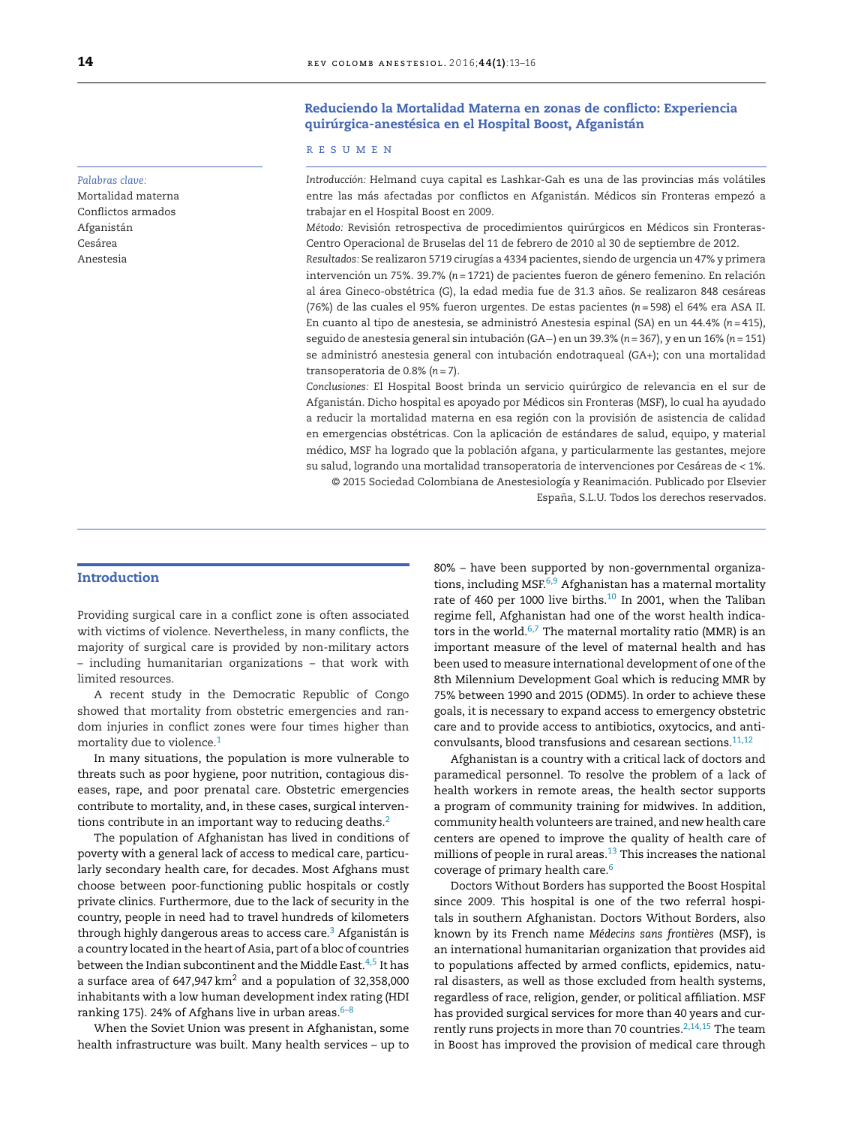#### *Palabras clave:*

Mortalidad materna Conflictos armados Afganistán Cesárea Anestesia

## **Reduciendo la Mortalidad Materna en zonas de conflicto: Experiencia quirúrgica-anestésica en el Hospital Boost, Afganistán**

#### r e s u m e n

*Introducción:* Helmand cuya capital es Lashkar-Gah es una de las provincias más volátiles entre las más afectadas por conflictos en Afganistán. Médicos sin Fronteras empezó a trabajar en el Hospital Boost en 2009.

*Método:* Revisión retrospectiva de procedimientos quirúrgicos en Médicos sin Fronteras-Centro Operacional de Bruselas del 11 de febrero de 2010 al 30 de septiembre de 2012.

*Resultados:* Se realizaron 5719 cirugías a 4334 pacientes, siendo de urgencia un 47% y primera intervención un 75%. 39.7% (*n* = 1721) de pacientes fueron de género femenino. En relación al área Gineco-obstétrica (G), la edad media fue de 31.3 años. Se realizaron 848 cesáreas (76%) de las cuales el 95% fueron urgentes. De estas pacientes (*n* = 598) el 64% era ASA II. En cuanto al tipo de anestesia, se administró Anestesia espinal (SA) en un 44.4% (*n* = 415), seguido de anestesia general sin intubación (GA−) en un 39.3% (*n* = 367), y en un 16% (*n* = 151) se administró anestesia general con intubación endotraqueal (GA+); con una mortalidad transoperatoria de 0.8% (*n* = 7).

*Conclusiones:* El Hospital Boost brinda un servicio quirúrgico de relevancia en el sur de Afganistán. Dicho hospital es apoyado por Médicos sin Fronteras (MSF), lo cual ha ayudado a reducir la mortalidad materna en esa región con la provisión de asistencia de calidad en emergencias obstétricas. Con la aplicación de estándares de salud, equipo, y material médico, MSF ha logrado que la población afgana, y particularmente las gestantes, mejore su salud, logrando una mortalidad transoperatoria de intervenciones por Cesáreas de < 1%.

© 2015 Sociedad Colombiana de Anestesiología y Reanimación. Publicado por Elsevier España, S.L.U. Todos los derechos reservados.

# **Introduction**

Providing surgical care in a conflict zone is often associated with victims of violence. Nevertheless, in many conflicts, the majority of surgical care is provided by non-military actors – including humanitarian organizations – that work with limited resources.

A recent study in the Democratic Republic of Congo showed that mortality from obstetric emergencies and random injuries in conflict zones were four times higher than mortality due to violence.<sup>1</sup>

In many situations, the population is more vulnerable to threats such as poor hygiene, poor nutrition, contagious diseases, rape, and poor prenatal care. Obstetric emergencies contribute to mortality, and, in these cases, surgical interventions contribute in an important way to reducing deaths. $2$ 

The population of Afghanistan has lived in conditions of poverty with a general lack of access to medical care, particularly secondary health care, for decades. Most Afghans must choose between poor-functioning public hospitals or costly private clinics. Furthermore, due to the lack of security in the country, people in need had to travel hundreds of kilometers through highly dangerous areas to access care.<sup>3</sup> Afganistán is a country located in the heart of Asia, part of a bloc of countries between the Indian subcontinent and the Middle East.<sup>4,5</sup> It has a surface area of 647,947 km<sup>2</sup> and a population of 32,358,000 inhabitants with a low human development index rating (HDI ranking 175). 24% of Afghans live in urban areas. $6-8$ 

When the Soviet Union was present in Afghanistan, some health infrastructure was built. Many health services – up to 80% – have been supported by non-governmental organizations, including MSF.<sup>6,9</sup> Afghanistan has a maternal mortality rate of 460 per 1000 live births. $10$  In 2001, when the Taliban regime fell, Afghanistan had one of the worst health indicators in the world. $6,7$  The maternal mortality ratio (MMR) is an important measure of the level of maternal health and has been used to measure international development of one of the 8th Milennium Development Goal which is reducing MMR by 75% between 1990 and 2015 (ODM5). In order to achieve these goals, it is necessary to expand access to emergency obstetric care and to provide access to antibiotics, oxytocics, and anticonvulsants, blood transfusions and cesarean sections. $11,12$ 

Afghanistan is a country with a critical lack of doctors and paramedical personnel. To resolve the problem of a lack of health workers in remote areas, the health sector supports a program of community training for midwives. In addition, community health volunteers are trained, and new health care centers are opened to improve the quality of health care of millions of people in rural areas. $^{13}$  This increases the national coverage of primary health care.6

Doctors Without Borders has supported the Boost Hospital since 2009. This hospital is one of the two referral hospitals in southern Afghanistan. Doctors Without Borders, also known by its French name *Médecins sans frontières* (MSF), is an international humanitarian organization that provides aid to populations affected by armed conflicts, epidemics, natural disasters, as well as those excluded from health systems, regardless of race, religion, gender, or political affiliation. MSF has provided surgical services for more than 40 years and currently runs projects in more than 70 countries.<sup>2,14,15</sup> The team in Boost has improved the provision of medical care through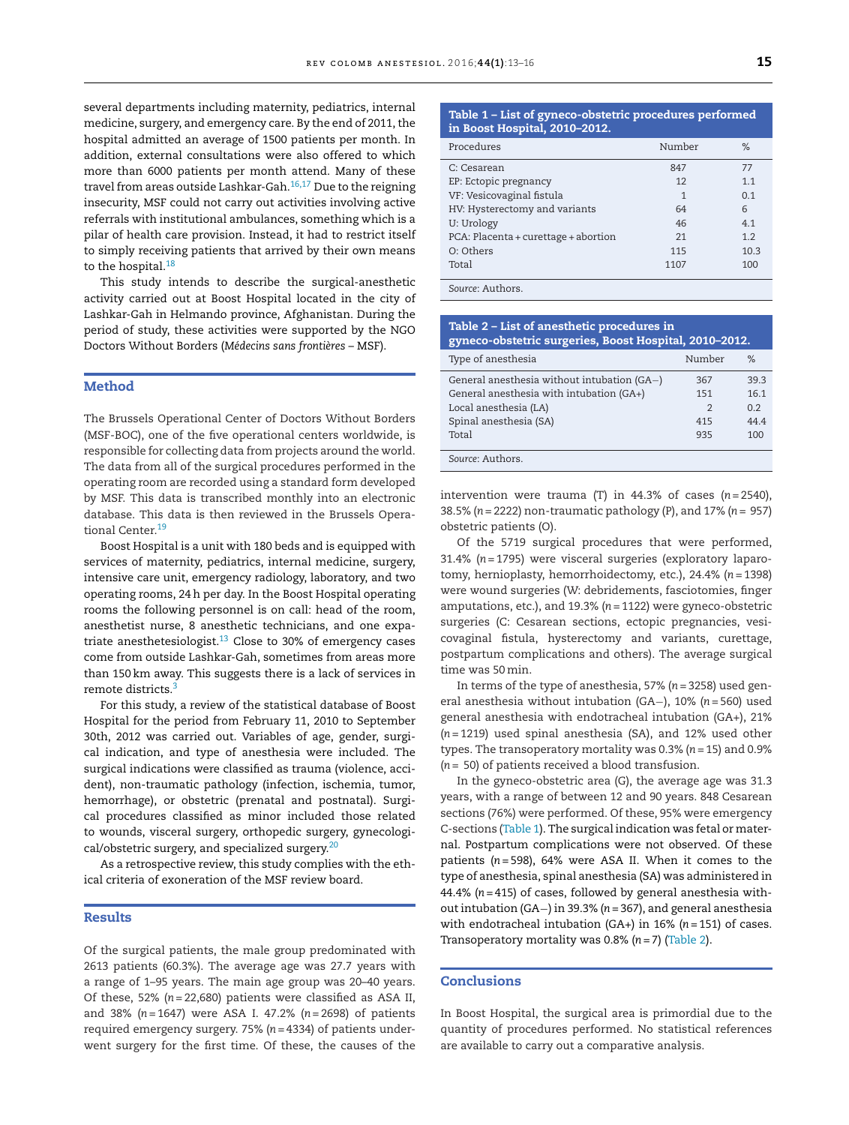several departments including maternity, pediatrics, internal medicine, surgery, and emergency care. By the end of 2011, the hospital admitted an average of 1500 patients per month. In addition, external consultations were also offered to which more than 6000 patients per month attend. Many of these travel from areas outside Lashkar-Gah.16,17 Due to the reigning insecurity, MSF could not carry out activities involving active referrals with institutional ambulances, something which is a pilar of health care provision. Instead, it had to restrict itself to simply receiving patients that arrived by their own means to the hospital.<sup>18</sup>

This study intends to describe the surgical-anesthetic activity carried out at Boost Hospital located in the city of Lashkar-Gah in Helmando province, Afghanistan. During the period of study, these activities were supported by the NGO Doctors Without Borders (*Médecins sans frontières* – MSF).

# **Method**

The Brussels Operational Center of Doctors Without Borders (MSF-BOC), one of the five operational centers worldwide, is responsible for collecting data from projects around the world. The data from all of the surgical procedures performed in the operating room are recorded using a standard form developed by MSF. This data is transcribed monthly into an electronic database. This data is then reviewed in the Brussels Operational Center.19

Boost Hospital is a unit with 180 beds and is equipped with services of maternity, pediatrics, internal medicine, surgery, intensive care unit, emergency radiology, laboratory, and two operating rooms, 24h per day. In the Boost Hospital operating rooms the following personnel is on call: head of the room, anesthetist nurse, 8 anesthetic technicians, and one expatriate anesthetesiologist. $13$  Close to 30% of emergency cases come from outside Lashkar-Gah, sometimes from areas more than 150 km away. This suggests there is a lack of services in remote districts.<sup>3</sup>

For this study, a review of the statistical database of Boost Hospital for the period from February 11, 2010 to September 30th, 2012 was carried out. Variables of age, gender, surgical indication, and type of anesthesia were included. The surgical indications were classified as trauma (violence, accident), non-traumatic pathology (infection, ischemia, tumor, hemorrhage), or obstetric (prenatal and postnatal). Surgical procedures classified as minor included those related to wounds, visceral surgery, orthopedic surgery, gynecological/obstetric surgery, and specialized surgery.<sup>20</sup>

As a retrospective review, this study complies with the ethical criteria of exoneration of the MSF review board.

#### **Results**

Of the surgical patients, the male group predominated with 2613 patients (60.3%). The average age was 27.7 years with a range of 1–95 years. The main age group was 20–40 years. Of these, 52% (*n* = 22,680) patients were classified as ASA II, and 38% (*n* = 1647) were ASA I. 47.2% (*n* = 2698) of patients required emergency surgery. 75% (*n* = 4334) of patients underwent surgery for the first time. Of these, the causes of the

#### **Table 1 – List of gyneco-obstetric procedures performed in Boost Hospital, 2010–2012.**

| Procedures                           | Number | $\%$ |
|--------------------------------------|--------|------|
| C: Cesarean                          | 847    | 77   |
| EP: Ectopic pregnancy                | 12     | 1.1  |
| VF: Vesicovaginal fistula            | 1      | 0.1  |
| HV: Hysterectomy and variants        | 64     | 6    |
| U: Urology                           | 46     | 4.1  |
| PCA: Placenta + curettage + abortion | 21     | 1.2  |
| O: Others                            | 115    | 10.3 |
| Total                                | 1107   | 100  |
|                                      |        |      |

*Source*: Authors.

| Table 2 – List of anesthetic procedures in<br>gyneco-obstetric surgeries, Boost Hospital, 2010-2012. |               |                |  |
|------------------------------------------------------------------------------------------------------|---------------|----------------|--|
| Type of anesthesia                                                                                   | Number        | $\%$           |  |
| General anesthesia without intubation (GA-)                                                          | 367           | 39.3           |  |
| General anesthesia with intubation (GA+)                                                             | 151           | 16.1           |  |
| Local anesthesia (LA)                                                                                | $\mathcal{P}$ | 0 <sub>2</sub> |  |
| Spinal anesthesia (SA)                                                                               | 415           | 44.4           |  |
| Total                                                                                                | 935           | 100            |  |
| Source: Authors.                                                                                     |               |                |  |

intervention were trauma (T) in  $44.3\%$  of cases  $(n=2540)$ , 38.5% (*n* = 2222) non-traumatic pathology (P), and 17% (*n* = 957) obstetric patients (O).

Of the 5719 surgical procedures that were performed, 31.4% (*n* = 1795) were visceral surgeries (exploratory laparotomy, hernioplasty, hemorrhoidectomy, etc.), 24.4% (*n* = 1398) were wound surgeries (W: debridements, fasciotomies, finger amputations, etc.), and 19.3% (*n* = 1122) were gyneco-obstetric surgeries (C: Cesarean sections, ectopic pregnancies, vesicovaginal fistula, hysterectomy and variants, curettage, postpartum complications and others). The average surgical time was 50min.

In terms of the type of anesthesia, 57% (*n* = 3258) used general anesthesia without intubation (GA−), 10% (*n* = 560) used general anesthesia with endotracheal intubation (GA+), 21% (*n* = 1219) used spinal anesthesia (SA), and 12% used other types. The transoperatory mortality was 0.3% (*n* = 15) and 0.9% (*n* = 50) of patients received a blood transfusion.

In the gyneco-obstetric area (G), the average age was 31.3 years, with a range of between 12 and 90 years. 848 Cesarean sections (76%) were performed. Of these, 95% were emergency C-sections (Table 1). The surgical indication was fetal or maternal. Postpartum complications were not observed. Of these patients (*n* = 598), 64% were ASA II. When it comes to the type of anesthesia, spinal anesthesia (SA) was administered in 44.4% (*n* = 415) of cases, followed by general anesthesia without intubation (GA−) in 39.3% (*n* = 367), and general anesthesia with endotracheal intubation (GA+) in 16% (*n* = 151) of cases. Transoperatory mortality was 0.8% (*n* = 7) (Table 2).

# **Conclusions**

In Boost Hospital, the surgical area is primordial due to the quantity of procedures performed. No statistical references are available to carry out a comparative analysis.